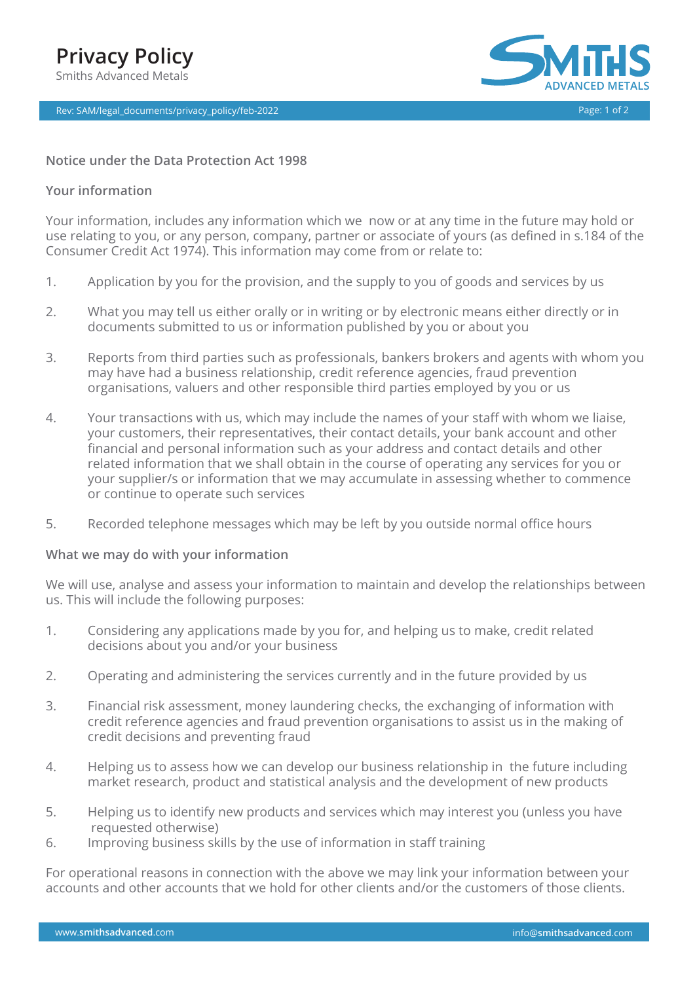

# **Notice under the Data Protection Act 1998**

## **Your information**

Your information, includes any information which we now or at any time in the future may hold or use relating to you, or any person, company, partner or associate of yours (as defined in s.184 of the Consumer Credit Act 1974). This information may come from or relate to:

- 1. Application by you for the provision, and the supply to you of goods and services by us
- 2. What you may tell us either orally or in writing or by electronic means either directly or in documents submitted to us or information published by you or about you
- 3. Reports from third parties such as professionals, bankers brokers and agents with whom you may have had a business relationship, credit reference agencies, fraud prevention organisations, valuers and other responsible third parties employed by you or us
- 4. Your transactions with us, which may include the names of your staff with whom we liaise, your customers, their representatives, their contact details, your bank account and other financial and personal information such as your address and contact details and other related information that we shall obtain in the course of operating any services for you or your supplier/s or information that we may accumulate in assessing whether to commence or continue to operate such services
- 5. Recorded telephone messages which may be left by you outside normal office hours

# **What we may do with your information**

We will use, analyse and assess your information to maintain and develop the relationships between us. This will include the following purposes:

- 1. Considering any applications made by you for, and helping us to make, credit related decisions about you and/or your business
- 2. Operating and administering the services currently and in the future provided by us
- 3. Financial risk assessment, money laundering checks, the exchanging of information with credit reference agencies and fraud prevention organisations to assist us in the making of credit decisions and preventing fraud
- 4. Helping us to assess how we can develop our business relationship in the future including market research, product and statistical analysis and the development of new products
- 5. Helping us to identify new products and services which may interest you (unless you have requested otherwise)
- 6. Improving business skills by the use of information in staff training

For operational reasons in connection with the above we may link your information between your accounts and other accounts that we hold for other clients and/or the customers of those clients.